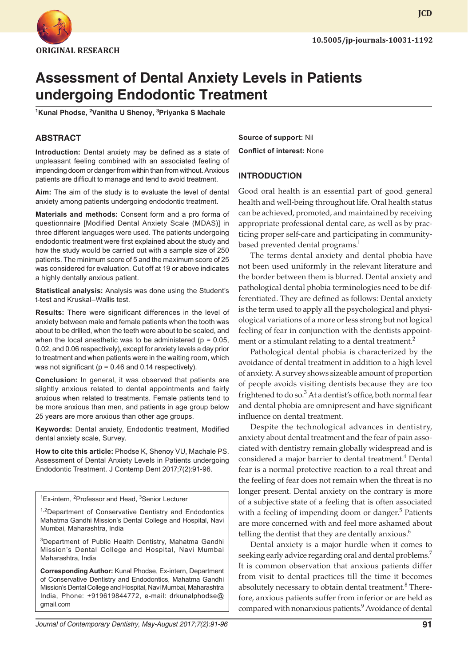

**JCD**

# **Assessment of Dental Anxiety Levels in Patients undergoing Endodontic Treatment**

**1 Kunal Phodse, 2 Vanitha U Shenoy, 3 Priyanka S Machale**

## **ABSTRACT**

**Introduction:** Dental anxiety may be defined as a state of unpleasant feeling combined with an associated feeling of impending doom or danger from within than from without. Anxious patients are difficult to manage and tend to avoid treatment.

**Aim:** The aim of the study is to evaluate the level of dental anxiety among patients undergoing endodontic treatment.

**Materials and methods:** Consent form and a pro forma of questionnaire [Modified Dental Anxiety Scale (MDAS)] in three different languages were used. The patients undergoing endodontic treatment were first explained about the study and how the study would be carried out with a sample size of 250 patients. The minimum score of 5 and the maximum score of 25 was considered for evaluation. Cut off at 19 or above indicates a highly dentally anxious patient.

**Statistical analysis:** Analysis was done using the Student's t-test and Kruskal–Wallis test.

**Results:** There were significant differences in the level of anxiety between male and female patients when the tooth was about to be drilled, when the teeth were about to be scaled, and when the local anesthetic was to be administered ( $p = 0.05$ , 0.02, and 0.06 respectively), except for anxiety levels a day prior to treatment and when patients were in the waiting room, which was not significant ( $p = 0.46$  and 0.14 respectively).

**Conclusion:** In general, it was observed that patients are slightly anxious related to dental appointments and fairly anxious when related to treatments. Female patients tend to be more anxious than men, and patients in age group below 25 years are more anxious than other age groups.

**Keywords:** Dental anxiety, Endodontic treatment, Modified dental anxiety scale, Survey.

**How to cite this article:** Phodse K, Shenoy VU, Machale PS. Assessment of Dental Anxiety Levels in Patients undergoing Endodontic Treatment. J Contemp Dent 2017;7(2):91-96.

<sup>1</sup>Ex-intern, <sup>2</sup>Professor and Head, <sup>3</sup>Senior Lecturer

<sup>1,2</sup>Department of Conservative Dentistry and Endodontics Mahatma Gandhi Mission's Dental College and Hospital, Navi Mumbai, Maharashtra, India

<sup>3</sup>Department of Public Health Dentistry, Mahatma Gandhi Mission's Dental College and Hospital, Navi Mumbai Maharashtra, India

**Corresponding Author:** Kunal Phodse, Ex-intern, Department of Conservative Dentistry and Endodontics, Mahatma Gandhi Mission's Dental College and Hospital, Navi Mumbai, Maharashtra India, Phone: +919619844772, e-mail: drkunalphodse@ gmail.com

**Source of support:** Nil **Conflict of interest:** None

### **INTRODUCTION**

Good oral health is an essential part of good general health and well-being throughout life. Oral health status can be achieved, promoted, and maintained by receiving appropriate professional dental care, as well as by practicing proper self-care and participating in communitybased prevented dental programs.<sup>1</sup>

The terms dental anxiety and dental phobia have not been used uniformly in the relevant literature and the border between them is blurred. Dental anxiety and pathological dental phobia terminologies need to be differentiated. They are defined as follows: Dental anxiety is the term used to apply all the psychological and physiological variations of a more or less strong but not logical feeling of fear in conjunction with the dentists appointment or a stimulant relating to a dental treatment.<sup>2</sup>

Pathological dental phobia is characterized by the avoidance of dental treatment in addition to a high level of anxiety. A survey shows sizeable amount of proportion of people avoids visiting dentists because they are too frightened to do so.<sup>3</sup> At a dentist's office, both normal fear and dental phobia are omnipresent and have significant influence on dental treatment.

Despite the technological advances in dentistry, anxiety about dental treatment and the fear of pain associated with dentistry remain globally widespread and is considered a major barrier to dental treatment.<sup>4</sup> Dental fear is a normal protective reaction to a real threat and the feeling of fear does not remain when the threat is no longer present. Dental anxiety on the contrary is more of a subjective state of a feeling that is often associated with a feeling of impending doom or danger.<sup>5</sup> Patients are more concerned with and feel more ashamed about telling the dentist that they are dentally anxious. $6$ 

Dental anxiety is a major hurdle when it comes to seeking early advice regarding oral and dental problems.<sup>7</sup> It is common observation that anxious patients differ from visit to dental practices till the time it becomes absolutely necessary to obtain dental treatment. $8$  Therefore, anxious patients suffer from inferior or are held as compared with nonanxious patients.<sup>9</sup> Avoidance of dental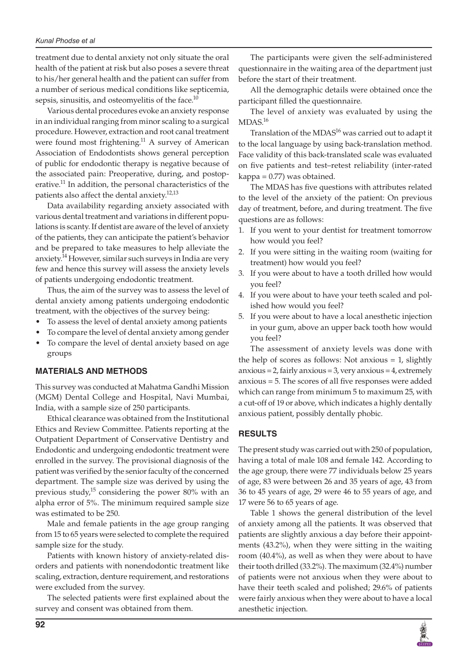treatment due to dental anxiety not only situate the oral health of the patient at risk but also poses a severe threat to his/her general health and the patient can suffer from a number of serious medical conditions like septicemia, sepsis, sinusitis, and osteomyelitis of the face.<sup>10</sup>

Various dental procedures evoke an anxiety response in an individual ranging from minor scaling to a surgical procedure. However, extraction and root canal treatment were found most frightening. $11$  A survey of American Association of Endodontists shows general perception of public for endodontic therapy is negative because of the associated pain: Preoperative, during, and postoperative.<sup>11</sup> In addition, the personal characteristics of the patients also affect the dental anxiety.<sup>12,13</sup>

Data availability regarding anxiety associated with various dental treatment and variations in different populations is scanty. If dentist are aware of the level of anxiety of the patients, they can anticipate the patient's behavior and be prepared to take measures to help alleviate the anxiety.<sup>14</sup> However, similar such surveys in India are very few and hence this survey will assess the anxiety levels of patients undergoing endodontic treatment.

Thus, the aim of the survey was to assess the level of dental anxiety among patients undergoing endodontic treatment, with the objectives of the survey being:

- To assess the level of dental anxiety among patients
- To compare the level of dental anxiety among gender
- To compare the level of dental anxiety based on age groups

## **MATERIALS AND METHODS**

This survey was conducted at Mahatma Gandhi Mission (MGM) Dental College and Hospital, Navi Mumbai, India, with a sample size of 250 participants.

Ethical clearance was obtained from the Institutional Ethics and Review Committee. Patients reporting at the Outpatient Department of Conservative Dentistry and Endodontic and undergoing endodontic treatment were enrolled in the survey. The provisional diagnosis of the patient was verified by the senior faculty of the concerned department. The sample size was derived by using the previous study, $15$  considering the power 80% with an alpha error of 5%. The minimum required sample size was estimated to be 250.

Male and female patients in the age group ranging from 15 to 65 years were selected to complete the required sample size for the study.

Patients with known history of anxiety-related disorders and patients with nonendodontic treatment like scaling, extraction, denture requirement, and restorations were excluded from the survey.

The selected patients were first explained about the survey and consent was obtained from them.

The participants were given the self-administered questionnaire in the waiting area of the department just before the start of their treatment.

All the demographic details were obtained once the participant filled the questionnaire.

The level of anxiety was evaluated by using the  $MDAS.<sup>16</sup>$ 

Translation of the MDA $S^{16}$  was carried out to adapt it to the local language by using back-translation method. Face validity of this back-translated scale was evaluated on five patients and test–retest reliability (inter-rated kappa = 0.77) was obtained.

The MDAS has five questions with attributes related to the level of the anxiety of the patient: On previous day of treatment, before, and during treatment. The five questions are as follows:

- 1. If you went to your dentist for treatment tomorrow how would you feel?
- 2. If you were sitting in the waiting room (waiting for treatment) how would you feel?
- 3. If you were about to have a tooth drilled how would you feel?
- 4. If you were about to have your teeth scaled and polished how would you feel?
- 5. If you were about to have a local anesthetic injection in your gum, above an upper back tooth how would you feel?

The assessment of anxiety levels was done with the help of scores as follows: Not anxious = 1, slightly  $anxious = 2$ , fairly  $anxious = 3$ , very  $anxious = 4$ , extremely anxious = 5. The scores of all five responses were added which can range from minimum 5 to maximum 25, with a cut-off of 19 or above, which indicates a highly dentally anxious patient, possibly dentally phobic.

## **RESULTS**

The present study was carried out with 250 of population, having a total of male 108 and female 142. According to the age group, there were 77 individuals below 25 years of age, 83 were between 26 and 35 years of age, 43 from 36 to 45 years of age, 29 were 46 to 55 years of age, and 17 were 56 to 65 years of age.

Table 1 shows the general distribution of the level of anxiety among all the patients. It was observed that patients are slightly anxious a day before their appointments (43.2%), when they were sitting in the waiting room (40.4%), as well as when they were about to have their tooth drilled (33.2%). The maximum (32.4%) number of patients were not anxious when they were about to have their teeth scaled and polished; 29.6% of patients were fairly anxious when they were about to have a local anesthetic injection.

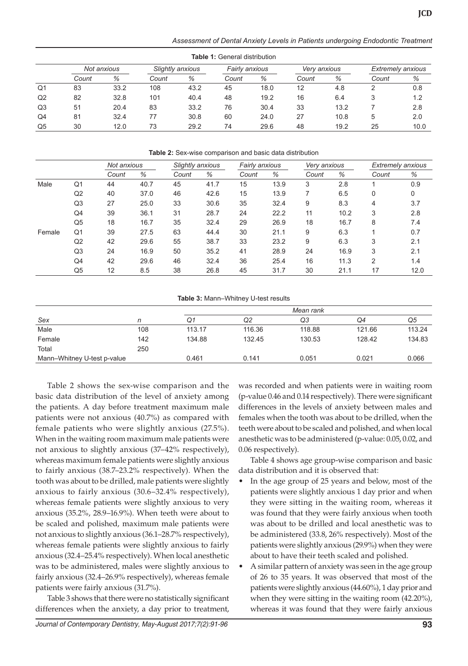*Assessment of Dental Anxiety Levels in Patients undergoing Endodontic Treatment*

|    | <b>Table 1: General distribution</b> |      |                  |      |                |      |              |      |                          |      |  |
|----|--------------------------------------|------|------------------|------|----------------|------|--------------|------|--------------------------|------|--|
|    | Not anxious                          |      | Slightly anxious |      | Fairly anxious |      | Very anxious |      | <b>Extremely anxious</b> |      |  |
|    | Count                                | %    | Count            | %    | Count          | %    | Count        | %    | Count                    | %    |  |
| Q1 | 83                                   | 33.2 | 108              | 43.2 | 45             | 18.0 | 12           | 4.8  |                          | 0.8  |  |
| Q2 | 82                                   | 32.8 | 101              | 40.4 | 48             | 19.2 | 16           | 6.4  |                          | 1.2  |  |
| Q3 | 51                                   | 20.4 | 83               | 33.2 | 76             | 30.4 | 33           | 13.2 |                          | 2.8  |  |
| Q4 | 81                                   | 32.4 | 77               | 30.8 | 60             | 24.0 | 27           | 10.8 | 5                        | 2.0  |  |
| Q5 | 30                                   | 12.0 | 73               | 29.2 | 74             | 29.6 | 48           | 19.2 | 25                       | 10.0 |  |

#### **Table 2:** Sex-wise comparison and basic data distribution

|        |                | Not anxious |      | Slightly anxious |      |       | Fairly anxious |       | Very anxious |                | <b>Extremely anxious</b> |  |
|--------|----------------|-------------|------|------------------|------|-------|----------------|-------|--------------|----------------|--------------------------|--|
|        |                | Count       | %    | Count            | %    | Count | %              | Count | %            | Count          | %                        |  |
| Male   | Q1             | 44          | 40.7 | 45               | 41.7 | 15    | 13.9           | 3     | 2.8          |                | 0.9                      |  |
|        | Q <sub>2</sub> | 40          | 37.0 | 46               | 42.6 | 15    | 13.9           |       | 6.5          | 0              | 0                        |  |
|        | Q3             | 27          | 25.0 | 33               | 30.6 | 35    | 32.4           | 9     | 8.3          | 4              | 3.7                      |  |
|        | Q4             | 39          | 36.1 | 31               | 28.7 | 24    | 22.2           | 11    | 10.2         | 3              | 2.8                      |  |
|        | Q5             | 18          | 16.7 | 35               | 32.4 | 29    | 26.9           | 18    | 16.7         | 8              | 7.4                      |  |
| Female | Q1             | 39          | 27.5 | 63               | 44.4 | 30    | 21.1           | 9     | 6.3          | ◢              | 0.7                      |  |
|        | Q2             | 42          | 29.6 | 55               | 38.7 | 33    | 23.2           | 9     | 6.3          | 3              | 2.1                      |  |
|        | Q3             | 24          | 16.9 | 50               | 35.2 | 41    | 28.9           | 24    | 16.9         | 3              | 2.1                      |  |
|        | Q4             | 42          | 29.6 | 46               | 32.4 | 36    | 25.4           | 16    | 11.3         | $\overline{2}$ | 1.4                      |  |
|        | Q5             | 12          | 8.5  | 38               | 26.8 | 45    | 31.7           | 30    | 21.1         | 17             | 12.0                     |  |

#### **Table 3:** Mann–Whitney U-test results

|                             |     | Mean rank |        |        |        |        |  |  |
|-----------------------------|-----|-----------|--------|--------|--------|--------|--|--|
| Sex                         |     | Q1        | Q2     | Q3     | O4     | Q5     |  |  |
| Male                        | 108 | 113.17    | 116.36 | 118.88 | 121.66 | 113.24 |  |  |
| Female                      | 142 | 134.88    | 132.45 | 130.53 | 128.42 | 134.83 |  |  |
| Total                       | 250 |           |        |        |        |        |  |  |
| Mann-Whitney U-test p-value |     | 0.461     | 0.141  | 0.051  | 0.021  | 0.066  |  |  |

Table 2 shows the sex-wise comparison and the basic data distribution of the level of anxiety among the patients. A day before treatment maximum male patients were not anxious (40.7%) as compared with female patients who were slightly anxious (27.5%). When in the waiting room maximum male patients were not anxious to slightly anxious (37–42% respectively), whereas maximum female patients were slightly anxious to fairly anxious (38.7–23.2% respectively). When the tooth was about to be drilled, male patients were slightly anxious to fairly anxious (30.6–32.4% respectively), whereas female patients were slightly anxious to very anxious (35.2%, 28.9–16.9%). When teeth were about to be scaled and polished, maximum male patients were not anxious to slightly anxious (36.1–28.7% respectively), whereas female patients were slightly anxious to fairly anxious (32.4–25.4% respectively). When local anesthetic was to be administered, males were slightly anxious to fairly anxious (32.4–26.9% respectively), whereas female patients were fairly anxious (31.7%).

Table 3 shows that there were no statistically significant differences when the anxiety, a day prior to treatment, was recorded and when patients were in waiting room (p-value 0.46 and 0.14 respectively). There were significant differences in the levels of anxiety between males and females when the tooth was about to be drilled, when the teeth were about to be scaled and polished, and when local anesthetic was to be administered (p-value: 0.05, 0.02, and 0.06 respectively).

Table 4 shows age group-wise comparison and basic data distribution and it is observed that:

- In the age group of 25 years and below, most of the patients were slightly anxious 1 day prior and when they were sitting in the waiting room, whereas it was found that they were fairly anxious when tooth was about to be drilled and local anesthetic was to be administered (33.8, 26% respectively). Most of the patients were slightly anxious (29.9%) when they were about to have their teeth scaled and polished.
- A similar pattern of anxiety was seen in the age group of 26 to 35 years. It was observed that most of the patients were slightly anxious (44.60%), 1 day prior and when they were sitting in the waiting room (42.20%), whereas it was found that they were fairly anxious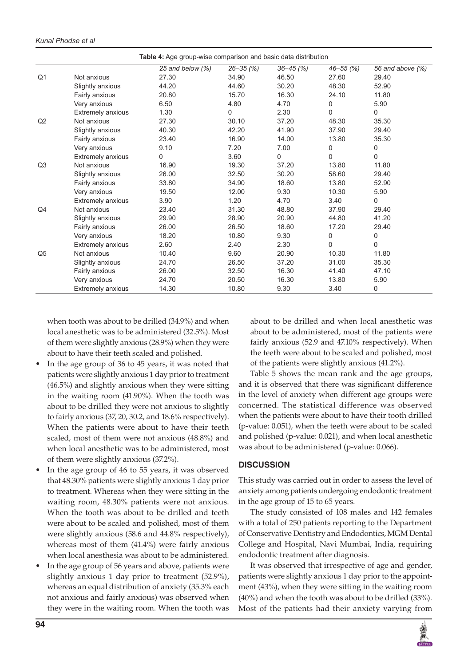|                |                          | Table 4: Age group-wise comparison and basic data distribution |              |               |           |                  |
|----------------|--------------------------|----------------------------------------------------------------|--------------|---------------|-----------|------------------|
|                |                          | 25 and below (%)                                               | $26 - 35(%)$ | $36 - 45$ (%) | 46–55 (%) | 56 and above (%) |
| Q <sub>1</sub> | Not anxious              | 27.30                                                          | 34.90        | 46.50         | 27.60     | 29.40            |
|                | Slightly anxious         | 44.20                                                          | 44.60        | 30.20         | 48.30     | 52.90            |
|                | Fairly anxious           | 20.80                                                          | 15.70        | 16.30         | 24.10     | 11.80            |
|                | Very anxious             | 6.50                                                           | 4.80         | 4.70          | 0         | 5.90             |
|                | <b>Extremely anxious</b> | 1.30                                                           | 0            | 2.30          | $\Omega$  | 0                |
| Q2             | Not anxious              | 27.30                                                          | 30.10        | 37.20         | 48.30     | 35.30            |
|                | Slightly anxious         | 40.30                                                          | 42.20        | 41.90         | 37.90     | 29.40            |
|                | Fairly anxious           | 23.40                                                          | 16.90        | 14.00         | 13.80     | 35.30            |
|                | Very anxious             | 9.10                                                           | 7.20         | 7.00          | 0         | 0                |
|                | <b>Extremely anxious</b> | 0                                                              | 3.60         | 0             | $\Omega$  | 0                |
| Q <sub>3</sub> | Not anxious              | 16.90                                                          | 19.30        | 37.20         | 13.80     | 11.80            |
|                | Slightly anxious         | 26.00                                                          | 32.50        | 30.20         | 58.60     | 29.40            |
|                | Fairly anxious           | 33.80                                                          | 34.90        | 18.60         | 13.80     | 52.90            |
|                | Very anxious             | 19.50                                                          | 12.00        | 9.30          | 10.30     | 5.90             |
|                | <b>Extremely anxious</b> | 3.90                                                           | 1.20         | 4.70          | 3.40      | 0                |
| Q4             | Not anxious              | 23.40                                                          | 31.30        | 48.80         | 37.90     | 29.40            |
|                | Slightly anxious         | 29.90                                                          | 28.90        | 20.90         | 44.80     | 41.20            |
|                | Fairly anxious           | 26.00                                                          | 26.50        | 18.60         | 17.20     | 29.40            |
|                | Very anxious             | 18.20                                                          | 10.80        | 9.30          | 0         | 0                |
|                | <b>Extremely anxious</b> | 2.60                                                           | 2.40         | 2.30          | $\Omega$  | $\Omega$         |
| Q <sub>5</sub> | Not anxious              | 10.40                                                          | 9.60         | 20.90         | 10.30     | 11.80            |
|                | Slightly anxious         | 24.70                                                          | 26.50        | 37.20         | 31.00     | 35.30            |
|                | Fairly anxious           | 26.00                                                          | 32.50        | 16.30         | 41.40     | 47.10            |
|                | Very anxious             | 24.70                                                          | 20.50        | 16.30         | 13.80     | 5.90             |
|                | <b>Extremely anxious</b> | 14.30                                                          | 10.80        | 9.30          | 3.40      | 0                |

#### *Kunal Phodse et al*

when tooth was about to be drilled (34.9%) and when local anesthetic was to be administered (32.5%). Most of them were slightly anxious (28.9%) when they were about to have their teeth scaled and polished.

- In the age group of 36 to 45 years, it was noted that patients were slightly anxious 1 day prior to treatment (46.5%) and slightly anxious when they were sitting in the waiting room (41.90%). When the tooth was about to be drilled they were not anxious to slightly to fairly anxious (37, 20, 30.2, and 18.6% respectively). When the patients were about to have their teeth scaled, most of them were not anxious (48.8%) and when local anesthetic was to be administered, most of them were slightly anxious (37.2%).
- In the age group of 46 to 55 years, it was observed that 48.30% patients were slightly anxious 1 day prior to treatment. Whereas when they were sitting in the waiting room, 48.30% patients were not anxious. When the tooth was about to be drilled and teeth were about to be scaled and polished, most of them were slightly anxious (58.6 and 44.8% respectively), whereas most of them (41.4%) were fairly anxious when local anesthesia was about to be administered.
- In the age group of 56 years and above, patients were slightly anxious 1 day prior to treatment (52.9%), whereas an equal distribution of anxiety (35.3% each not anxious and fairly anxious) was observed when they were in the waiting room. When the tooth was

about to be drilled and when local anesthetic was about to be administered, most of the patients were fairly anxious (52.9 and 47.10% respectively). When the teeth were about to be scaled and polished, most of the patients were slightly anxious (41.2%).

Table 5 shows the mean rank and the age groups, and it is observed that there was significant difference in the level of anxiety when different age groups were concerned. The statistical difference was observed when the patients were about to have their tooth drilled (p-value: 0.051), when the teeth were about to be scaled and polished (p-value: 0.021), and when local anesthetic was about to be administered (p-value: 0.066).

## **DISCUSSION**

This study was carried out in order to assess the level of anxiety among patients undergoing endodontic treatment in the age group of 15 to 65 years.

The study consisted of 108 males and 142 females with a total of 250 patients reporting to the Department of Conservative Dentistry and Endodontics, MGM Dental College and Hospital, Navi Mumbai, India, requiring endodontic treatment after diagnosis.

It was observed that irrespective of age and gender, patients were slightly anxious 1 day prior to the appointment (43%), when they were sitting in the waiting room (40%) and when the tooth was about to be drilled (33%). Most of the patients had their anxiety varying from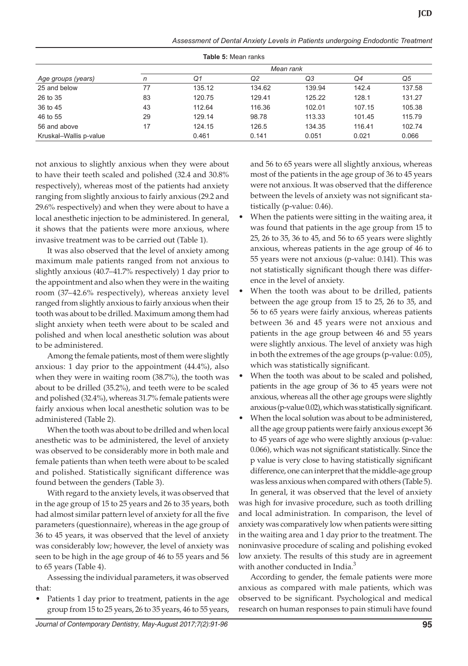| Assessment of Dental Anxiety Levels in Patients undergoing Endodontic Treatment |  |  |
|---------------------------------------------------------------------------------|--|--|

| Table 5: Mean ranks    |           |        |        |        |        |        |  |  |  |
|------------------------|-----------|--------|--------|--------|--------|--------|--|--|--|
|                        | Mean rank |        |        |        |        |        |  |  |  |
| Age groups (years)     | n         | Q1     | Q2     | Q3     | Q4     | Q5     |  |  |  |
| 25 and below           | 77        | 135.12 | 134.62 | 139.94 | 142.4  | 137.58 |  |  |  |
| 26 to 35               | 83        | 120.75 | 129.41 | 125.22 | 128.1  | 131.27 |  |  |  |
| 36 to 45               | 43        | 112.64 | 116.36 | 102.01 | 107.15 | 105.38 |  |  |  |
| 46 to 55               | 29        | 129.14 | 98.78  | 113.33 | 101.45 | 115.79 |  |  |  |
| 56 and above           | 17        | 124.15 | 126.5  | 134.35 | 116.41 | 102.74 |  |  |  |
| Kruskal-Wallis p-value |           | 0.461  | 0.141  | 0.051  | 0.021  | 0.066  |  |  |  |

**Table 5:** Mean ranks

not anxious to slightly anxious when they were about to have their teeth scaled and polished (32.4 and 30.8% respectively), whereas most of the patients had anxiety ranging from slightly anxious to fairly anxious (29.2 and 29.6% respectively) and when they were about to have a local anesthetic injection to be administered. In general, it shows that the patients were more anxious, where invasive treatment was to be carried out (Table 1).

It was also observed that the level of anxiety among maximum male patients ranged from not anxious to slightly anxious (40.7–41.7% respectively) 1 day prior to the appointment and also when they were in the waiting room (37–42.6% respectively), whereas anxiety level ranged from slightly anxious to fairly anxious when their tooth was about to be drilled. Maximum among them had slight anxiety when teeth were about to be scaled and polished and when local anesthetic solution was about to be administered.

Among the female patients, most of them were slightly anxious: 1 day prior to the appointment (44.4%), also when they were in waiting room (38.7%), the tooth was about to be drilled (35.2%), and teeth were to be scaled and polished (32.4%), whereas 31.7% female patients were fairly anxious when local anesthetic solution was to be administered (Table 2).

When the tooth was about to be drilled and when local anesthetic was to be administered, the level of anxiety was observed to be considerably more in both male and female patients than when teeth were about to be scaled and polished. Statistically significant difference was found between the genders (Table 3).

With regard to the anxiety levels, it was observed that in the age group of 15 to 25 years and 26 to 35 years, both had almost similar pattern level of anxiety for all the five parameters (questionnaire), whereas in the age group of 36 to 45 years, it was observed that the level of anxiety was considerably low; however, the level of anxiety was seen to be high in the age group of 46 to 55 years and 56 to 65 years (Table 4).

Assessing the individual parameters, it was observed that:

Patients 1 day prior to treatment, patients in the age group from 15 to 25 years, 26 to 35 years, 46 to 55 years, and 56 to 65 years were all slightly anxious, whereas most of the patients in the age group of 36 to 45 years were not anxious. It was observed that the difference between the levels of anxiety was not significant statistically (p-value: 0.46).

- When the patients were sitting in the waiting area, it was found that patients in the age group from 15 to 25, 26 to 35, 36 to 45, and 56 to 65 years were slightly anxious, whereas patients in the age group of 46 to 55 years were not anxious (p-value: 0.141). This was not statistically significant though there was difference in the level of anxiety.
- When the tooth was about to be drilled, patients between the age group from 15 to 25, 26 to 35, and 56 to 65 years were fairly anxious, whereas patients between 36 and 45 years were not anxious and patients in the age group between 46 and 55 years were slightly anxious. The level of anxiety was high in both the extremes of the age groups (p-value: 0.05), which was statistically significant.
- When the tooth was about to be scaled and polished, patients in the age group of 36 to 45 years were not anxious, whereas all the other age groups were slightly anxious (p-value 0.02), which was statistically significant.
- When the local solution was about to be administered, all the age group patients were fairly anxious except 36 to 45 years of age who were slightly anxious (p-value: 0.066), which was not significant statistically. Since the p value is very close to having statistically significant difference, one can interpret that the middle-age group was less anxious when compared with others (Table 5).

In general, it was observed that the level of anxiety was high for invasive procedure, such as tooth drilling and local administration. In comparison, the level of anxiety was comparatively low when patients were sitting in the waiting area and 1 day prior to the treatment. The noninvasive procedure of scaling and polishing evoked low anxiety. The results of this study are in agreement with another conducted in India.<sup>3</sup>

According to gender, the female patients were more anxious as compared with male patients, which was observed to be significant. Psychological and medical research on human responses to pain stimuli have found